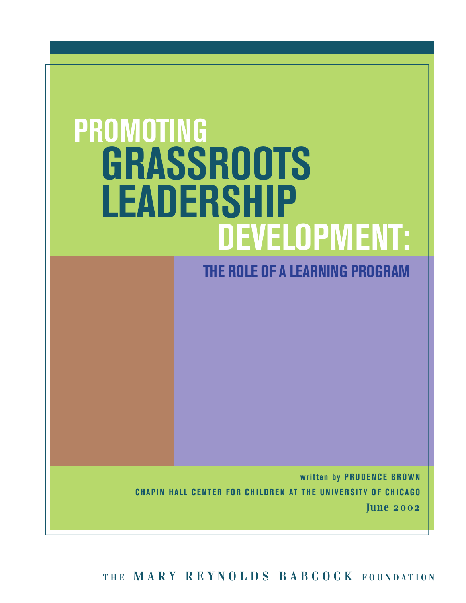# **PROMOTING GRASSROOTS LEADERSHIP DEVELOPMENT:**

### **THE ROLE OF A LEARNING PROGRAM**

**written by PRUDENCE BROWN CHAPIN HALL CENTER FOR CHILDREN AT THE UNIVERSITY OF CHICAGO June 2002**

**T H E M A R Y R E Y N O L D S B A B C O C K F O U N D A T I O N**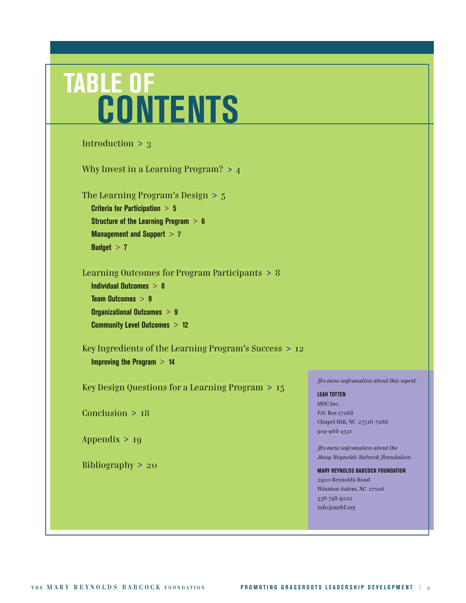## **TABLE OF CONTENTS**

```
For more information about this report >
                                                                     LEAH TOTTEN
                                                                     MDC Inc.
                                                                     P.O. Box 17268
                                                                     Chapel Hill, NC 27516-7268
                                                                     919-968-4531
                                                                     For more information about the 
                                                                     Mary Reynolds Babcock Foundation >
                                                                     MARY REYNOLDS BABCOCK FOUNDATION
                                                                     2920 Reynolda Road
                                                                     Winston-Salem, NC 27106
                                                                     336-748-9222
Introduction > 3
Why Invest in a Learning Program? > 4
The Learning Program's Design > 5
   Criteria for Participation > 5
   Structure of the Learning Program > 6
  Management and Support > 7
   Budget > 7
Learning Outcomes for Program Participants > 8
   Individual Outcomes > 8
  Team Outcomes > 9
   Organizational Outcomes > 9
   Community Level Outcomes > 12
Key Ingredients of the Learning Program's Success > 12
   Improving the Program > 14
Key Design Questions for a Learning Program > 15
Conclusion > 18
Appendix > 19
Bibliography > 20
```
info@mrbf.org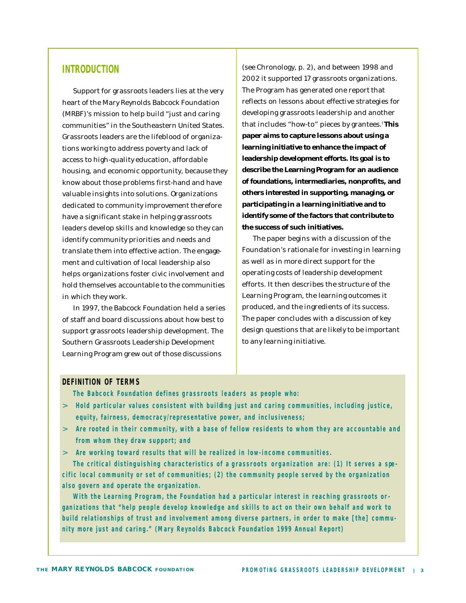#### **INTRODUCTION**

Support for grassroots leaders lies at the very heart of the Mary Reynolds Babcock Foundation (MRBF)'s mission to help build "just and caring communities" in the Southeastern United States. Grassroots leaders are the lifeblood of organizations working to address poverty and lack of access to high-quality education, affordable housing, and economic opportunity, because they know about those problems first-hand and have valuable insights into solutions. Organizations dedicated to community improvement therefore have a significant stake in helping grassroots leaders develop skills and knowledge so they can identify community priorities and needs and translate them into effective action. The engagement and cultivation of local leadership also helps organizations foster civic involvement and hold themselves accountable to the communities in which they work.

In 1997, the Babcock Foundation held a series of staff and board discussions about how best to support grassroots leadership development. The Southern Grassroots Leadership Development Learning Program grew out of those discussions

(see *Chronology*, p. 2), and between 1998 and 2002 it supported 17 grassroots organizations. The Program has generated one report that reflects on lessons about effective strategies for developing grassroots leadership and another that includes "how-to" pieces by grantees.I **This paper aims to capture lessons about using a learning initiative to enhance the impact of leadership development efforts. Its goal is to describe the Learning Program for an audience of foundations, intermediaries, nonprofits, and others interested in supporting, managing, or participating in a learning initiative and to identify some of the factors that contribute to the success of such initiatives.**

The paper begins with a discussion of the Foundation's rationale for investing in *learning* as well as in more direct support for the operating costs of leadership development efforts. It then describes the structure of the Learning Program, the learning outcomes it produced, and the ingredients of its success. The paper concludes with a discussion of key design questions that are likely to be important to any learning initiative.

#### **DEFINITION OF TERMS**

**The Babcock Foundation defines grassroots leaders as people who:**

- > **Hold particular values consistent with building just and caring communities, including justice, equity, fairness, democracy/representative power, and inclusiveness;**
- > **Are rooted in their community, with a base of fellow residents to whom they are accountable and from whom they draw support; and**
- > **Are working toward results that will be realized in low-income communities.**

**The critical distinguishing characteristics of a grassroots organization are: (1) It serves a spe cific local community or set of communities; (2) the community people served by the organization**  also govern and operate the organization.

**With the Learning Program, the Foundation had a particular interest in reaching grassroots or gan izations that "help people develop knowledge and skills to act on their own behalf and work to build relationships of trust and involvement among diverse partners, in order to make [the] commu nity more just and caring." (Mary Reynolds Babcock Foundation 1999 Annual Report)**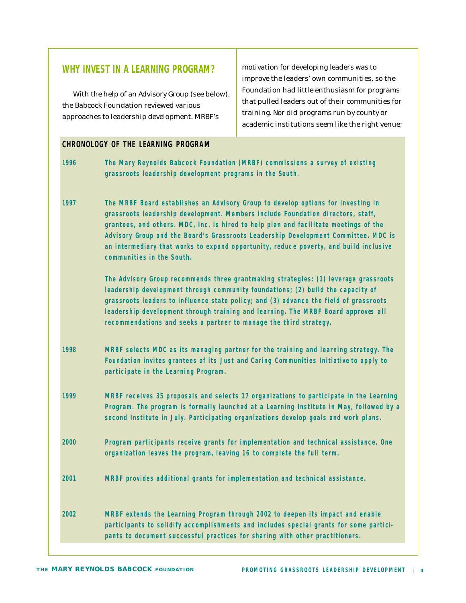#### **WHY INVEST IN A LEARNING PROGRAM?**

With the help of an Advisory Group (see below), the Babcock Foundation reviewed various approaches to leadership development. MRBF's

motivation for developing leaders was to improve the leaders' own communities, so the Foundation had little enthusiasm for programs that pulled leaders out of their communities for training. Nor did programs run by county or academic institutions seem like the right venue;

#### **CHRONOLOGY OF THE LEARNING PROGRAM**

| 1996 | The Mary Reynolds Babcock Foundation (MRBF) commissions a survey of existing<br>grassroots leadership development programs in the South.                                                                                                                                                                                                                                                                                                                                |
|------|-------------------------------------------------------------------------------------------------------------------------------------------------------------------------------------------------------------------------------------------------------------------------------------------------------------------------------------------------------------------------------------------------------------------------------------------------------------------------|
| 1997 | The MRBF Board establishes an Advisory Group to develop options for investing in<br>grassroots leadership development. Members include Foundation directors, staff,<br>grantees, and others. MDC, Inc. is hired to help plan and facilitate meetings of the<br>Advisory Group and the Board's Grassroots Leadership Development Committee. MDC is<br>an intermediary that works to expand opportunity, reduce poverty, and build inclusive<br>communities in the South. |
|      | The Advisory Group recommends three grantmaking strategies: (1) leverage grassroots<br>leadership development through community foundations; (2) build the capacity of<br>grassroots leaders to influence state policy; and (3) advance the field of grassroots<br>leadership development through training and learning. The MRBF Board approves all<br>recommendations and seeks a partner to manage the third strategy.                                               |
| 1998 | MRBF selects MDC as its managing partner for the training and learning strategy. The<br>Foundation invites grantees of its Just and Caring Communities Initiative to apply to<br>participate in the Learning Program.                                                                                                                                                                                                                                                   |
| 1999 | MRBF receives 35 proposals and selects 17 organizations to participate in the Learning<br>Program. The program is formally launched at a Learning Institute in May, followed by a<br>second Institute in July. Participating organizations develop goals and work plans.                                                                                                                                                                                                |
| 2000 | Program participants receive grants for implementation and technical assistance. One<br>organization leaves the program, leaving 16 to complete the full term.                                                                                                                                                                                                                                                                                                          |
| 2001 | MRBF provides additional grants for implementation and technical assistance.                                                                                                                                                                                                                                                                                                                                                                                            |
| 2002 | MRBF extends the Learning Program through 2002 to deepen its impact and enable<br>participants to solidify accomplishments and includes special grants for some partici-<br>pants to document successful practices for sharing with other practitioners.                                                                                                                                                                                                                |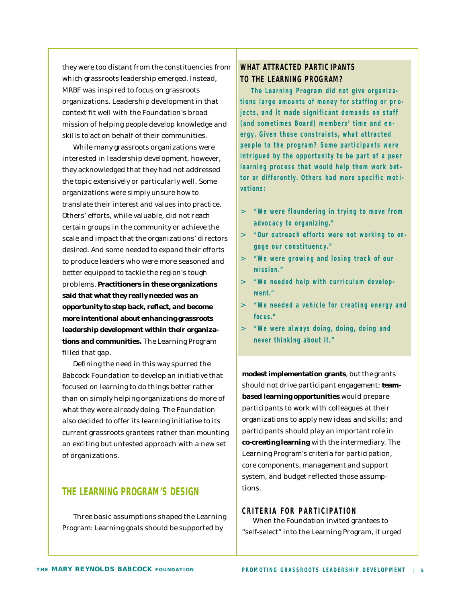they were too distant from the constituencies from which grassroots leadership emerged. Instead, MRBF was inspired to focus on grassroots organizations. Leadership development in that context fit well with the Foundation's broad mission of helping people develop knowledge and skills to act on behalf of their communities.

While many grassroots organizations were interested in leadership development, however, they acknowledged that they had not addressed the topic extensively or particularly well. Some organizations were simply unsure how to translate their interest and values into practice. Others' efforts, while valuable, did not reach certain groups in the community or achieve the scale and impact that the organizations' directors desired. And some needed to expand their efforts to produce leaders who were more seasoned and better equipped to tackle the region's tough problems. **Practitioners in these organizations said that what they really needed was an opportunity to step back, reflect, and become more intentional about enhancing grassroots leadership development within their organizations and communities.** The Learning Program filled that gap.

Defining the need in this way spurred the Babcock Foundation to develop an initiative that focused on *learning* to do things better rather than on simply helping organizations do more of what they were already doing. The Foundation also decided to offer its learning initiative to its current grassroots grantees rather than mounting an exciting but untested approach with a new set of organizations.

#### **THE LEARNING PROGRAM'S DESIGN**

Three basic assumptions shaped the Learning Program: Learning goals should be supported by

#### **WHAT ATTRACTED PARTIC IPANTS TO THE LEARNING PROG RAM?**

**The Learning Program did not give organizations large amounts of money for staffing or pr o jects, and it made significant demands on staff**  (and sometimes Board) members' time and en**ergy. Given those constraints, what attracted p eo ple to the program? Some participants were intrigued by the opportunity to be part of a peer learning process that would help them work bet ter or differently. Others had more specific mot ivations:**

- > **"We were floundering in trying to move from advocacy to organizing."**
- > **"Our outreach efforts were not working to en gage our constituency."**
- > **"We were growing and losing track of our mission."**
- $>$  "We needed help with curriculum develop**ment."**
- > **"We needed a vehicle for creating energy and focus."**
- > **"We were always doing, doing, doing and never thinking about it."**

**modest implementation grants**, but the grants should not drive participant engagement; **teambased learning opportunities** would prepare participants to work with colleagues at their organizations to apply new ideas and skills; and participants should play an important role in **co-creating learning** with the intermediary. The Learning Program's criteria for participation, core components, management and support system, and budget reflected those assumptions.

**CRITERIA FOR PARTICIPATION**

When the Foundation invited grantees to "self-select" into the Learning Program, it urged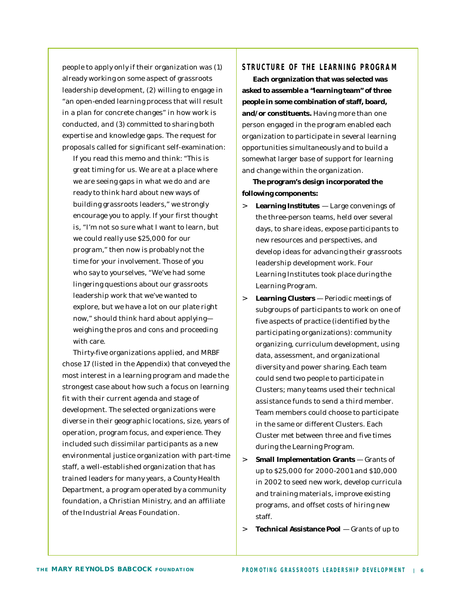people to apply only if their organization was (1) already working on some aspect of grassroots leadership development, (2) willing to engage in "an open-ended learning process that will result in a plan for concrete changes" in how work is conducted, and (3) committed to sharing both expertise and knowledge gaps. The request for proposals called for significant self-examination:

If you read this memo and think: "*This is great timing for us. We are at a place where we are seeing gaps in what we do and are ready to think hard about new ways of building grassroots leaders*," we strongly encourage you to apply. If your first thought is, "*I'm not so sure what I want to learn, but we could really use \$25,000 for our program*," then now is probably not the time for your involvement. Those of you who say to yourselves, "*We've had some lingering questions about our grassroots leadership work that we've wanted to explore, but we have a lot on our plate right now*," should think hard about applying weighing the pros and cons and proceeding with care.

Thirty-five organizations applied, and MRBF chose 17 (listed in the Appendix) that conveyed the most interest in a learning program and made the strongest case about how such a focus on learning fit with their current agenda and stage of development. The selected organizations were diverse in their geographic locations, size, years of operation, program focus, and experience. They included such dissimilar participants as a new environmental justice organization with part-time staff, a well-established organization that has trained leaders for many years, a County Health Department, a program operated by a community foundation, a Christian Ministry, and an affiliate of the Industrial Areas Foundation.

#### **STRUCTURE OF THE LEARNING PROGRA M**

**Each organization that was selected was asked to assemble a "learning team" of three people in some combination of staff, board, and/or constituents.** Having more than one person engaged in the program enabled each organization to participate in several learning opportunities simultaneously and to build a somewhat larger base of support for learning and change within the organization.

**The program's design incorporated the following components:**

- > **Learning Institutes**  Large convenings of the three-person teams, held over several days, to share ideas, expose participants to new resources and perspectives, and develop ideas for advancing their grassroots leadership development work. Four Learning Institutes took place during the Learning Program.
- > **Learning Clusters** Periodic meetings of subgroups of participants to work on one of five aspects of practice (identified by the participating organizations): community organizing, curriculum development, using data, assessment, and organizational diversity and power sharing. Each team could send two people to participate in Clusters; many teams used their technical assistance funds to send a third member. Team members could choose to participate in the same or different Clusters. Each Cluster met between three and five times during the Learning Program.
- > **Small Implementation Grants** Grants of up to \$25,000 for 2000-2001 and \$10,000 in 2002 to seed new work, develop curricula and training materials, improve existing programs, and offset costs of hiring new staff.

> **Technical Assistance Pool** — Grants of up to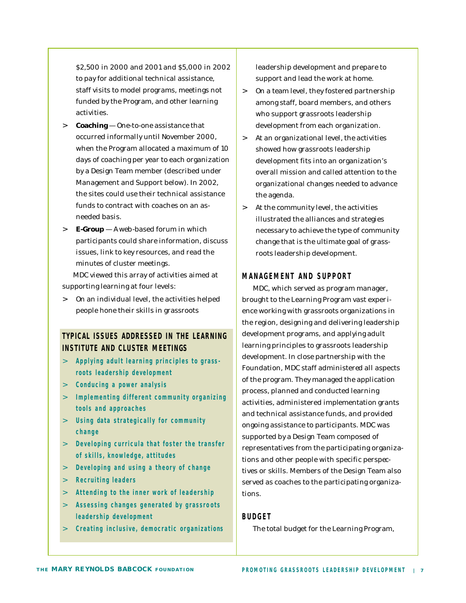\$2,500 in 2000 and 2001 and \$5,000 in 2002 to pay for additional technical assistance, staff visits to model programs, meetings not funded by the Program, and other learning activities.

- > **Coaching** One-to-one assistance that occurred informally until November 2000, when the Program allocated a maximum of 10 days of coaching per year to each organization by a Design Team member (described under *Management and Support* below). In 2002, the sites could use their technical assistance funds to contract with coaches on an asneeded basis.
- > **E-Group** A web-based forum in which participants could share information, discuss issues, link to key resources, and read the minutes of cluster meetings.

MDC viewed this array of activities aimed at supporting learning at four levels:

> On an *individual level*, the activities helped people hone their skills in grassroots

#### **TYPICAL ISSUES ADDRESSED IN THE LEARNING INSTITUTE AND CLUSTER MEETINGS**

- > **Applying adult learning principles to grass roots leadership development**
- > **Conducing a power analysis**
- > **Implementing different community organizing tools and approaches**
- > **Using data strategically for community change**
- > **Developing curricula that foster the transfer of skills, knowledge, attitudes**
- > **Developing and using a theory of change**
- > **Recruiting leaders**
- > **Attending to the inner work of leadership**
- > **Assessing changes generated by grassroots leadership development**
- > **Creating inclusive, democratic organizations**

leadership development and prepare to support and lead the work at home.

- > On a *team level*, they fostered partnership among staff, board members, and others who support grassroots leadership development from each organization.
- > At an *organizational level*, the activities showed how grassroots leadership development fits into an organization's overall mission and called attention to the organizational changes needed to advance the agenda.
- > At the *community level*, the activities illustrated the alliances and strategies necessary to achieve the type of community change that is the ultimate goal of grassroots leadership development.

#### **MANAGEMENT AND SUPPORT**

MDC, which served as program manager, brought to the Learning Program vast experience working with grassroots organizations in the region, designing and delivering leadership development programs, and applying adult learning principles to grassroots leadership development. In close partnership with the Foundation, MDC staff administered all aspects of the program. They managed the application process, planned and conducted learning activities, administered implementation grants and technical assistance funds, and provided ongoing assistance to participants. MDC was supported by a Design Team composed of representatives from the participating organizations and other people with specific perspectives or skills. Members of the Design Team also served as coaches to the participating organizations.

#### **BUDGET**

The total budget for the Learning Program,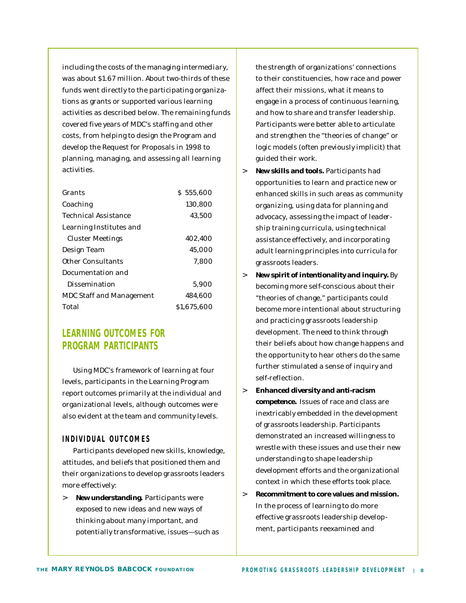including the costs of the managing intermediary, was about \$1.67 million. About two-thirds of these funds went directly to the participating organizations as grants or supported various learning activities as described below. The remaining funds covered five years of MDC's staffing and other costs, from helping to design the Program and develop the Request for Proposals in 1998 to planning, managing, and assessing all learning activities.

| Grants                          | \$555,600   |
|---------------------------------|-------------|
| Coaching                        | 130,800     |
| <b>Technical Assistance</b>     | 43,500      |
| Learning Institutes and         |             |
| Cluster Meetings                | 402,400     |
| Design Team                     | 45,000      |
| Other Consultants               | 7.800       |
| Documentation and               |             |
| Dissemination                   | 5,900       |
| <b>MDC Staff and Management</b> | 484,600     |
| Total                           | \$1,675,600 |

#### **LEARNING OUTCOMES FOR PROGRAM PARTICIPANTS**

Using MDC's framework of learning at four levels, participants in the Learning Program report outcomes primarily at the individual and organizational levels, although outcomes were also evident at the team and community levels.

#### **INDIVIDUAL OUTCOME S**

Participants developed new skills, knowledge, attitudes, and beliefs that positioned them and their organizations to develop grassroots leaders more effectively:

> **New understanding.** Participants were exposed to new ideas and new ways of thinking about many important, and potentially transformative, issues—such as

the strength of organizations' connections to their constituencies, how race and power affect their missions, what it means to engage in a process of continuous learning, and how to share and transfer leadership. Participants were better able to articulate and strengthen the "theories of change" or logic models (often previously implicit) that guided their work.

- > **New skills and tools.** Participants had opportunities to learn and practice new or enhanced skills in such areas as community organizing, using data for planning and advocacy, assessing the impact of leadership training curricula, using technical assistance effectively, and incorporating adult learning principles into curricula for grassroots leaders.
- > **New spirit of intentionality and inquiry.** By becoming more self-conscious about their "theories of change," participants could become more intentional about structuring and practicing grassroots leadership development. The need to think through their beliefs about how change happens and the opportunity to hear others do the same further stimulated a sense of inquiry and self-reflection.
- > **Enhanced diversity and anti-racism competence.** Issues of race and class are inextricably embedded in the development of grassroots leadership. Participants demonstrated an increased willingness to wrestle with these issues and use their new understanding to shape leadership development efforts and the organizational context in which these efforts took place.
- > **Recommitment to core values and mission.** In the process of learning to do more effective grassroots leadership development, participants reexamined and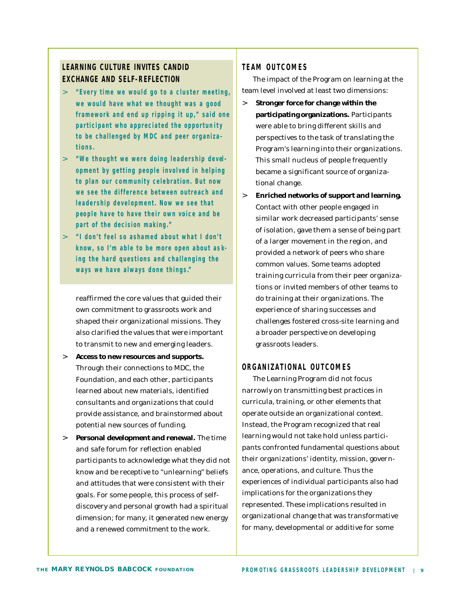#### **LEARNING CULTURE INVITES CANDID EXCHANGE AND SELF-REFLECTION**

- > **"Every time we would go to a cluster meeting, we would have what we thought was a good framework and end up ripping it up," said one participant who appreciated the opportun ity to be challenged by MDC and peer organiza tions.**
- > **"We thought we were doing leadership development by getting people involved in helping to plan our community celebration. But now**  we see the difference between outreach and **leadership development. Now we see that p eo ple have to have their own voice and be part of the decision making."**
- > **"I don't feel so ashamed about what I don't know, so I'm able to be more open about asking the hard questions and challenging the ways we have always done things."**

reaffirmed the core values that guided their own commitment to grassroots work and shaped their organizational missions. They also clarified the values that were important to transmit to new and emerging leaders.

- > **Access to new resources and supports.** Through their connections to MDC, the Foundation, and each other, participants learned about new materials, identified consultants and organizations that could provide assistance, and brainstormed about potential new sources of funding.
- > **Personal development and renewal.** The time and safe forum for reflection enabled participants to acknowledge what they did not know and be receptive to "unlearning" beliefs and attitudes that were consistent with their goals. For some people, this process of selfdiscovery and personal growth had a spiritual dimension; for many, it generated new energy and a renewed commitment to the work.

#### **TEAM OUTCOME S**

The impact of the Program on learning at the team level involved at least two dimensions:

- > **Stronger force for change within the participating organizations.** Participants were able to bring different skills and perspectives to the task of translating the Program's learning into their organizations. This small nucleus of people frequently became a significant source of organizational change.
- > **Enriched networks of support and learning.** Contact with other people engaged in similar work decreased participants' sense of isolation, gave them a sense of being part of a larger movement in the region, and provided a network of peers who share common values. Some teams adopted training curricula from their peer organizations or invited members of other teams to do training at their organizations. The experience of sharing successes and challenges fostered cross-site learning and a broader perspective on developing grassroots leaders.

#### **ORGANIZATIONAL OUTCOME S**

The Learning Program did not focus narrowly on transmitting best practices in curricula, training, or other elements that operate outside an organizational context. Instead, the Program recognized that real learning would not take hold unless participants confronted fundamental questions about their organizations' identity, mission, governance, operations, and culture. Thus the experiences of individual participants also had implications for the organizations they represented. These implications resulted in organizational change that was transformative for many, developmental or additive for some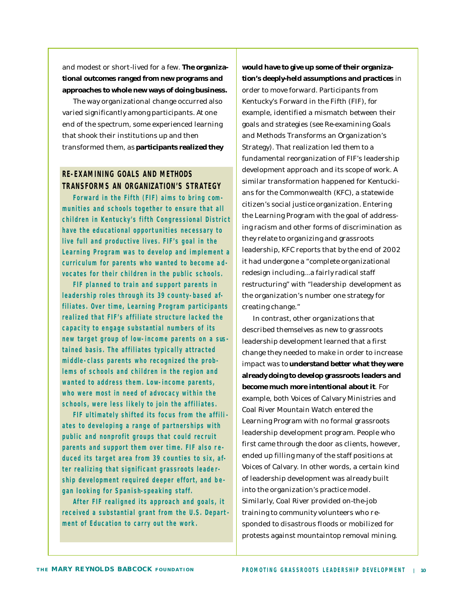and modest or short-lived for a few. **The organizational outcomes ranged from new programs and approaches to whole new ways of doing business.**

The way organizational change occurred also varied significantly among participants. At one end of the spectrum, some experienced learning that shook their institutions up and then transformed them, as **participants realized they** 

#### **RE-EXAMINING GOALS AND METHODS TRANSFORMS AN ORGANIZATION'S STRATEGY**

**Forward in the Fifth (FIF) aims to bring com munities and schools together to ensure that all children in Kentucky's fifth Congressional District have the educational opport unities necessary to live full and productive lives. FIF's goal in the Learning Program was to develop and implement a curriculum for parents who wanted to become a d vocates for their children in the public schools.**

**FIF planned to train and support parents in leadership roles through its 39 county- based affiliates. Over time, Learning Program participants realized that FIF's affiliate structure lacked the capacity to engage substantial numbers of its new target group of low-income parents on a sus tained basis. The affiliates typically attracted**  middle-class parents who recognized the prob**lems of schools and children in the region and wanted to address them. Low-income parents, who were most in need of advocacy wit hin the schools, were less likely to join the affiliates.**

FIF ultimately shifted its focus from the affili**ates to developing a range of partnerships with public and nonprofit groups that could recruit p arents and support them over time. FIF also re duced its target area from 39 counties to six, after realizing that significant grassroots leadership development required deeper effort, and b e gan looking for Spanish-speaking staff.**

**After FIF realigned its approach and goals, it received a substantial grant from the U.S. Depart ment of Education to carry out the work.**

**would have to give up some of their organization's deeply-held assumptions and practices** in order to move forward. Participants from Kentucky's Forward in the Fifth (FIF), for example, identified a mismatch between their goals and strategies (see *Re-examining Goals and Methods Transforms an Organization's Strategy*). That realization led them to a fundamental reorganization of FIF's leadership development approach and its scope of work. A similar transformation happened for Kentuckians for the Commonwealth (KFC), a statewide citizen's social justice organization. Entering the Learning Program with the goal of addressing racism and other forms of discrimination as they relate to organizing and grassroots leadership, KFC reports that by the end of 2002 it had undergone a "complete organizational redesign including...a fairly radical staff restructuring" with "leadership development as the organization's number one strategy for creating change."

In contrast, other organizations that described themselves as new to grassroots leadership development learned that a first change they needed to make in order to increase impact was to **understand better what they were already doing to develop grassroots leaders and become much more intentional about it**. For example, both Voices of Calvary Ministries and Coal River Mountain Watch entered the Learning Program with no formal grassroots leadership development program. People who first came through the door as clients, however, ended up filling many of the staff positions at Voices of Calvary. In other words, a certain kind of leadership development was already built into the organization's practice model. Similarly, Coal River provided on-the-job training to community volunteers who responded to disastrous floods or mobilized for protests against mountaintop removal mining.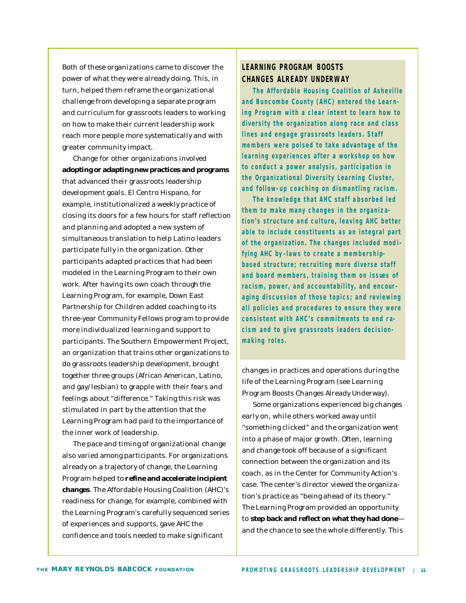Both of these organizations came to discover the power of what they were already doing. This, in turn, helped them reframe the organizational challenge from developing a separate program and curriculum for grassroots leaders to working on how to make their current leadership work reach more people more systematically and with greater community impact.

Change for other organizations involved **adopting or adapting new practices and programs** that advanced their grassroots leadership development goals. El Centro Hispano, for example, institutionalized a weekly practice of closing its doors for a few hours for staff reflection and planning and adopted a new system of simultaneous translation to help Latino leaders participate fully in the organization. Other participants adapted practices that had been modeled in the Learning Program to their own work. After having its own coach through the Learning Program, for example, Down East Partnership for Children added coaching to its three-year Community Fellows program to provide more individualized learning and support to participants. The Southern Empowerment Project, an organization that trains other organizations to do grassroots leadership development, brought together three groups (African American, Latino, and gay/lesbian) to grapple with their fears and feelings about "difference." Taking this risk was stimulated in part by the attention that the Learning Program had paid to the importance of the inner work of leadership.

The pace and timing of organizational change also varied among participants. For organizations already on a trajectory of change, the Learning Program helped to **refine and accelerate incipient changes**. The Affordable Housing Coalition (AHC)'s readiness for change, for example, combined with the Learning Program's carefully sequenced series of experiences and supports, gave AHC the confidence and tools needed to make significant

#### **LEARNING PROGRAM BOOSTS CHANGES ALREADY UNDERWAY**

**The Affordable Housing Coalition of Asheville**  and Buncombe County (AHC) entered the Learn**ing Program with a clear intent to learn how to diversity the organization along race and class**  lines and engage grassroots leaders. Staff **members were poised to take advantage of the learning experiences after a workshop on how to conduct a power analysis, participatio n in the Organizational Diversity Learning Cluster, and follow- up coaching on dismantling racism.**

**The knowledge that AHC staff a bsorbed led them to make many changes in the organization's structure and culture, leaving AHC better able to include constituents as an integral part**  of the organization. The changes included modi**fying AHC by -laws to create a membershipbased structure; recruiting more diverse staff and board members, training them on issues of racism, power, and accountability, and encour a ging discussion of those topics; and reviewing all policies and procedures to ensure they were consistent with AHC's commitments to end racism and to give grassroots leaders decision making roles.**

changes in practices and operations during the life of the Learning Program (see *Learning Program Boosts Changes Already Underway*).

Some organizations experienced big changes early on, while others worked away until "something clicked" and the organization went into a phase of major growth. Often, learning and change took off because of a significant connection between the organization and its coach, as in the Center for Community Action's case. The center's director viewed the organization's practice as "being ahead of its theory." The Learning Program provided an opportunity to **step back and reflect on what they had done** and the chance to see the whole differently. This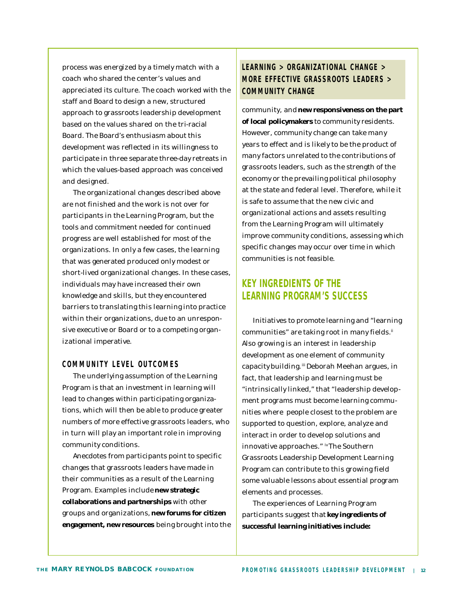process was energized by a timely match with a coach who shared the center's values and appreciated its culture. The coach worked with the staff and Board to design a new, structured approach to grassroots leadership development based on the values shared on the tri-racial Board. The Board's enthusiasm about this development was reflected in its willingness to participate in three separate three-day retreats in which the values-based approach was conceived and designed.

The organizational changes described above are not finished and the work is not over for participants in the Learning Program, but the tools and commitment needed for continued progress are well established for most of the organizations. In only a few cases, the learning that was generated produced only modest or short-lived organizational changes. In these cases, individuals may have increased their own knowledge and skills, but they encountered barriers to translating this learning into practice within their organizations, due to an unresponsive executive or Board or to a competing organizational imperative.

#### **COMMUNITY LEVEL OUTCOME S**

The underlying assumption of the Learning Program is that an investment in learning will lead to changes within participating organizations, which will then be able to produce greater numbers of more effective grassroots leaders, who in turn will play an important role in improving community conditions.

Anecdotes from participants point to specific changes that grassroots leaders have made in their communities as a result of the Learning Program. Examples include **new strategic collaborations and partnerships** with other groups and organizations, **new forums for citizen engagement, new resources** being brought into the

#### **LEARNING > ORGANIZATIONAL CHANGE > MORE EFFECTIVE GRASSROOTS LEADERS > COMMUNITY CHANGE**

community, and **new responsiveness on the part of local policymakers** to community residents. However, community change can take many years to effect and is likely to be the product of many factors unrelated to the contributions of grassroots leaders, such as the strength of the economy or the prevailing political philosophy at the state and federal level. Therefore, while it is safe to assume that the new civic and organizational actions and assets resulting from the Learning Program will ultimately improve community conditions, assessing which specific changes may occur over time in which communities is not feasible.

#### **KEY INGREDIENTS OF THE LEARNING PROGRAM'S SUCCESS**

Initiatives to promote learning and "learning communities" are taking root in many fields.<sup>ii</sup> Also growing is an interest in leadership development as one element of community capacity building.<sup>iii</sup> Deborah Meehan argues, in fact, that leadership and learning must be "intrinsically linked," that "leadership development programs must become learning communities where people closest to the problem are supported to question, explore, analyze and interact in order to develop solutions and innovative approaches." IN The Southern Grassroots Leadership Development Learning Program can contribute to this growing field some valuable lessons about essential program elements and processes.

The experiences of Learning Program participants suggest that **key ingredients of successful learning initiatives include:**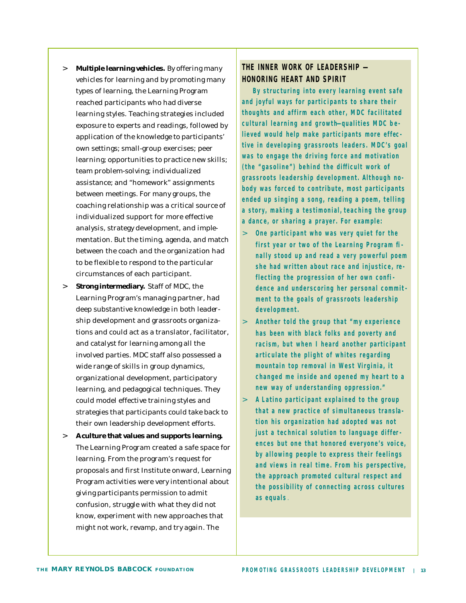- > **Multiple learning vehicles.** By offering many vehicles for learning and by promoting many types of learning, the Learning Program reached participants who had diverse learning styles. Teaching strategies included exposure to experts and readings, followed by application of the knowledge to participants' own settings; small-group exercises; peer learning; opportunities to practice new skills; team problem-solving; individualized assistance; and "homework" assignments between meetings. For many groups, the coaching relationship was a critical source of individualized support for more effective analysis, strategy development, and implementation. But the timing, agenda, and match between the coach and the organization had to be flexible to respond to the particular circumstances of each participant. > **Strong intermediary.** Staff of MDC, the
- Learning Program's managing partner, had deep substantive knowledge in both leadership development and grassroots organizations and could act as a translator, facilitator, and catalyst for learning among all the involved parties. MDC staff also possessed a wide range of skills in group dynamics, organizational development, participatory learning, and pedagogical techniques. They could model effective training styles and strategies that participants could take back to their own leadership development efforts.
- > **A culture that values and supports learning.** The Learning Program created a safe space for learning. From the program's request for proposals and first Institute onward, Learning Program activities were very intentional about giving participants permission to admit confusion, struggle with what they did not know, experiment with new approaches that might not work, revamp, and try again. The

#### THE INNER WORK OF LEADERSHIP -**HONORING HEART AND SPIRIT**

**By structuring into every learning event safe and joyful ways for participants to share their thoughts and affirm each other, MDC facilitated cultural learning and growth— qualities MDC b e lieved would help make participants more effec tive in developing grassroots leaders. MDC's goal was to engage the driving force and motivation (the "gasoline") behind the difficult work of grassroots leadership development. Although n o body was forced to contribute, most participants ended up singing a song, reading a poem, telling a story, making a testimonial, teaching the group a dance, or sharing a prayer. For example:**

- > **One participant who was very quiet for the first year or two of the Learning Program fi nally stood up and read a very powerful poem she had written about race and injustice, re flecting the progression of her own confi dence and underscoring her personal commit ment to the goals of grassroots leadership development.**
- > **Another told the group that "my experience has been with black folks and poverty and racism, but when I heard another participant articulate the plight of whites regarding mountain top removal in West Virginia, it changed me inside and opened my heart to a new way of understanding oppression."**
- > **A Latino participant explained to the group that a new practice of simultaneous transla tion his organization had adopted was not just a technical solution to language differ ences but one that honored everyone's voice, by allowing people to express their feelings and views in real time. From his perspective, the approach promoted cultural respect and the possibility of connecting across cultures as equals** .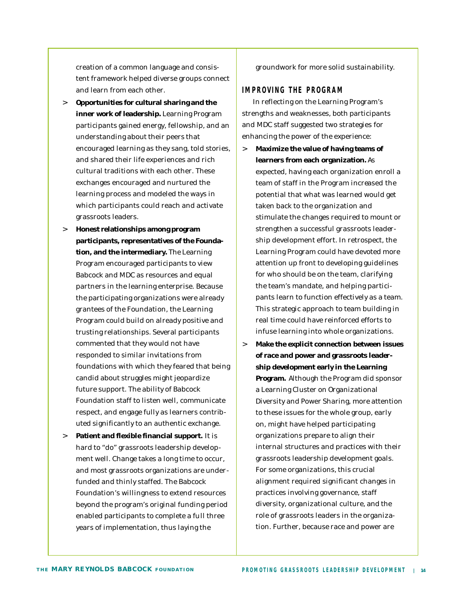creation of a common language and consistent framework helped diverse groups connect and learn from each other.

- > **Opportunities for cultural sharing and the inner work of leadership.** Learning Program participants gained energy, fellowship, and an understanding about their peers that encouraged learning as they sang, told stories, and shared their life experiences and rich cultural traditions with each other. These exchanges encouraged and nurtured the learning process and modeled the ways in which participants could reach and activate grassroots leaders.
- > **Honest relationships among program participants, representatives of the Foundation, and the intermediary.** The Learning Program encouraged participants to view Babcock and MDC as resources and equal partners in the learning enterprise. Because the participating organizations were already grantees of the Foundation, the Learning Program could build on already positive and trusting relationships. Several participants commented that they would not have responded to similar invitations from foundations with which they feared that being candid about struggles might jeopardize future support. The ability of Babcock Foundation staff to listen well, communicate respect, and engage fully as learners contributed significantly to an authentic exchange.
- > **Patient and flexible financial support.** It is hard to "do" grassroots leadership development well. Change takes a long time to occur, and most grassroots organizations are underfunded and thinly staffed. The Babcock Foundation's willingness to extend resources beyond the program's original funding period enabled participants to complete a full three years of implementation, thus laying the

groundwork for more solid sustainability.

#### **IMPROVING THE PROGRA M**

In reflecting on the Learning Program's strengths and weaknesses, both participants and MDC staff suggested two strategies for enhancing the power of the experience:

- > **Maximize the value of having teams of learners from each organization.** As expected, having each organization enroll a team of staff in the Program increased the potential that what was learned would get taken back to the organization and stimulate the changes required to mount or strengthen a successful grassroots leadership development effort. In retrospect, the Learning Program could have devoted more attention up front to developing guidelines for who should be on the team, clarifying the team's mandate, and helping participants learn to function effectively as a team. This strategic approach to team building in real time could have reinforced efforts to infuse learning into whole organizations.
- > **Make the explicit connection between issues of race and power and grassroots leadership development early in the Learning Program.** Although the Program did sponsor a Learning Cluster on Organizational Diversity and Power Sharing, more attention to these issues for the whole group, early on, might have helped participating organizations prepare to align their internal structures and practices with their grassroots leadership development goals. For some organizations, this crucial alignment required significant changes in practices involving governance, staff diversity, organizational culture, and the role of grassroots leaders in the organization. Further, because race and power are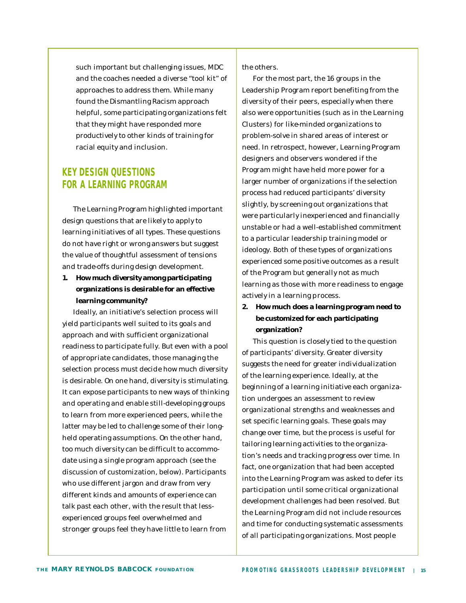such important but challenging issues, MDC and the coaches needed a diverse "tool kit" of approaches to address them. While many found the Dismantling Racism approach helpful, some participating organizations felt that they might have responded more productively to other kinds of training for racial equity and inclusion.

#### **KEY DESIGN QUESTIONS FOR A LEARNING PROGRAM**

The Learning Program highlighted important design questions that are likely to apply to learning initiatives of all types. These questions do not have right or wrong answers but suggest the value of thoughtful assessment of tensions and trade-offs during design development.

**1. How much diversity among participating organizations is desirable for an effective learning community?**

Ideally, an initiative's selection process will yield participants well suited to its goals and approach and with sufficient organizational readiness to participate fully. But even with a pool of appropriate candidates, those managing the selection process must decide how much diversity is desirable. On one hand, diversity is stimulating. It can expose participants to new ways of thinking and operating and enable still-developing groups to learn from more experienced peers, while the latter may be led to challenge some of their longheld operating assumptions. On the other hand, too much diversity can be difficult to accommodate using a single program approach (see the discussion of customization, below). Participants who use different jargon and draw from very different kinds and amounts of experience can talk past each other, with the result that lessexperienced groups feel overwhelmed and stronger groups feel they have little to learn from

the others.

For the most part, the 16 groups in the Leadership Program report benefiting from the diversity of their peers, especially when there also were opportunities (such as in the Learning Clusters) for like-minded organizations to problem-solve in shared areas of interest or need. In retrospect, however, Learning Program designers and observers wondered if the Program might have held more power for a larger number of organizations if the selection process had reduced participants' diversity slightly, by screening out organizations that were particularly inexperienced and financially unstable or had a well-established commitment to a particular leadership training model or ideology. Both of these types of organizations experienced some positive outcomes as a result of the Program but generally not as much learning as those with more readiness to engage actively in a learning process.

#### **2. How much does a learning program need to be customized for each participating organization?**

This question is closely tied to the question of participants' diversity. Greater diversity suggests the need for greater individualization of the learning experience. Ideally, at the beginning of a learning initiative each organization undergoes an assessment to review organizational strengths and weaknesses and set specific learning goals. These goals may change over time, but the process is useful for tailoring learning activities to the organization's needs and tracking progress over time. In fact, one organization that had been accepted into the Learning Program was asked to defer its participation until some critical organizational development challenges had been resolved. But the Learning Program did not include resources and time for conducting systematic assessments of all participating organizations. Most people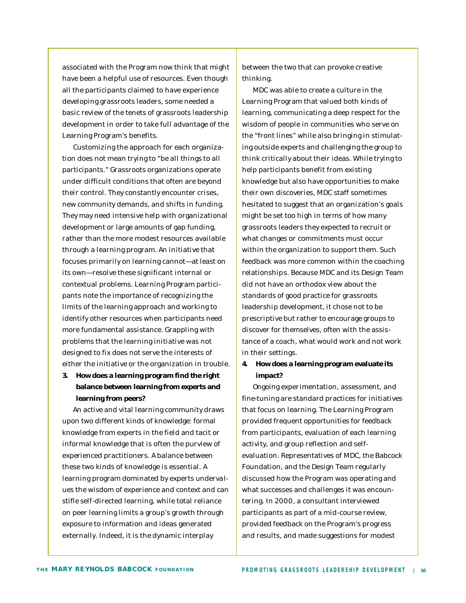associated with the Program now think that might have been a helpful use of resources. Even though all the participants claimed to have experience developing grassroots leaders, some needed a basic review of the tenets of grassroots leadership development in order to take full advantage of the Learning Program's benefits.

Customizing the approach for each organization does not mean trying to "be all things to all participants." Grassroots organizations operate under difficult conditions that often are beyond their control. They constantly encounter crises, new community demands, and shifts in funding. They may need intensive help with organizational development or large amounts of gap funding, rather than the more modest resources available through a learning program. An initiative that focuses primarily on learning cannot—at least on its own—resolve these significant internal or contextual problems. Learning Program participants note the importance of recognizing the limits of the learning approach and working to identify other resources when participants need more fundamental assistance. Grappling with problems that the learning initiative was not designed to fix does not serve the interests of either the initiative or the organization in trouble.

#### **3. How does a learning program find the right balance between learning from experts and learning from peers?**

An active and vital learning community draws upon two different kinds of knowledge: formal knowledge from experts in the field and tacit or informal knowledge that is often the purview of experienced practitioners. A balance between these two kinds of knowledge is essential. A learning program dominated by experts undervalues the wisdom of experience and context and can stifle self-directed learning, while total reliance on peer learning limits a group's growth through exposure to information and ideas generated externally. Indeed, it is the dynamic interplay

between the two that can provoke creative thinking.

MDC was able to create a culture in the Learning Program that valued both kinds of learning, communicating a deep respect for the wisdom of people in communities who serve on the "front lines" while also bringing in stimulating outside experts and challenging the group to think critically about their ideas. While trying to help participants benefit from existing knowledge but also have opportunities to make their own discoveries, MDC staff sometimes hesitated to suggest that an organization's goals might be set too high in terms of how many grassroots leaders they expected to recruit or what changes or commitments must occur within the organization to support them. Such feedback was more common within the coaching relationships. Because MDC and its Design Team did not have an orthodox view about the standards of good practice for grassroots leadership development, it chose not to be prescriptive but rather to encourage groups to discover for themselves, often with the assistance of a coach, what would work and not work in their settings.

#### **4. How does a learning program evaluate its impact?**

Ongoing experimentation, assessment, and fine-tuning are standard practices for initiatives that focus on learning. The Learning Program provided frequent opportunities for feedback from participants, evaluation of each learning activity, and group reflection and selfevaluation. Representatives of MDC, the Babcock Foundation, and the Design Team regularly discussed how the Program was operating and what successes and challenges it was encountering. In 2000, a consultant interviewed participants as part of a mid-course review, provided feedback on the Program's progress and results, and made suggestions for modest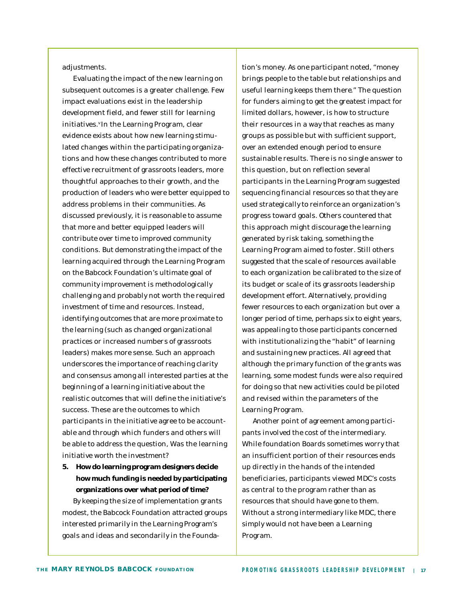adjustments.

Evaluating the impact of the new learning on subsequent outcomes is a greater challenge. Few impact evaluations exist in the leadership development field, and fewer still for learning initiatives.<sup>v</sup> In the Learning Program, clear evidence exists about how new learning stimulated changes within the participating organizations and how these changes contributed to more effective recruitment of grassroots leaders, more thoughtful approaches to their growth, and the production of leaders who were better equipped to address problems in their communities. As discussed previously, it is reasonable to assume that more and better equipped leaders will contribute over time to improved community conditions. But demonstrating the impact of the learning acquired through the Learning Program on the Babcock Foundation's ultimate goal of community improvement is methodologically challenging and probably not worth the required investment of time and resources. Instead, identifying outcomes that are more proximate to the learning (such as changed organizational practices or increased numbers of grassroots leaders) makes more sense. Such an approach underscores the importance of reaching clarity and consensus among all interested parties at the beginning of a learning initiative about the realistic outcomes that will define the initiative's success. These are the outcomes to which participants in the initiative agree to be accountable and through which funders and others will be able to address the question, *Was the learning initiative worth the investment?*

#### **5. How do learning program designers decide how much funding is needed by participating organizations over what period of time?** By keeping the size of implementation grants modest, the Babcock Foundation attracted groups interested primarily in the Learning Program's

goals and ideas and secondarily in the Founda-

tion's money. As one participant noted, "money brings people to the table but relationships and useful learning keeps them there." The question for funders aiming to get the greatest impact for limited dollars, however, is how to structure their resources in a way that reaches as many groups as possible but with sufficient support, over an extended enough period to ensure sustainable results. There is no single answer to this question, but on reflection several participants in the Learning Program suggested sequencing financial resources so that they are used strategically to reinforce an organization's progress toward goals. Others countered that this approach might discourage the learning generated by risk taking, something the Learning Program aimed to foster. Still others suggested that the scale of resources available to each organization be calibrated to the size of its budget or scale of its grassroots leadership development effort. Alternatively, providing fewer resources to each organization but over a longer period of time, perhaps six to eight years, was appealing to those participants concerned with institutionalizing the "habit" of learning and sustaining new practices. All agreed that although the primary function of the grants was *learning*, some modest funds were also required for *doing* so that new activities could be piloted and revised within the parameters of the Learning Program.

Another point of agreement among participants involved the cost of the intermediary. While foundation Boards sometimes worry that an insufficient portion of their resources ends up directly in the hands of the intended beneficiaries, participants viewed MDC's costs as central to the program rather than as resources that should have gone to them. Without a strong intermediary like MDC, there simply would not have been a Learning Program.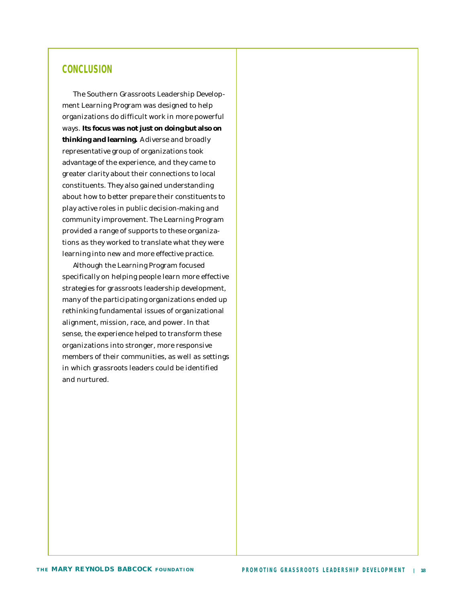#### **CONCLUSION**

The Southern Grassroots Leadership Development Learning Program was designed to help organizations do difficult work in more powerful ways. **Its focus was not just on doing but also on**  *thinking* **and** *learning***.** A diverse and broadly representative group of organizations took advantage of the experience, and they came to greater clarity about their connections to local constituents. They also gained understanding about how to better prepare their constituents to play active roles in public decision-making and community improvement. The Learning Program provided a range of supports to these organizations as they worked to translate what they were learning into new and more effective practice.

Although the Learning Program focused specifically on helping people learn more effective strategies for grassroots leadership development, many of the participating organizations ended up rethinking fundamental issues of organizational alignment, mission, race, and power. In that sense, the experience helped to transform these organizations into stronger, more responsive members of their communities, as well as settings in which grassroots leaders could be identified and nurtured.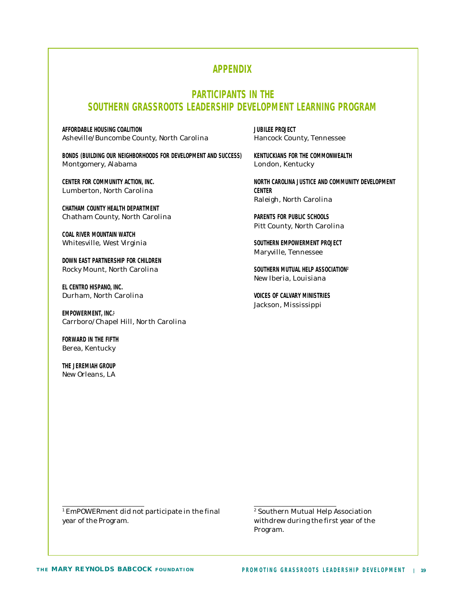#### **APPENDIX**

#### **PARTICIPANTS IN THE SOUTHERN GRASSROOTS LEADERSHIP DEVELOPMENT LEARNING PROGRAM**

**AFFORDABLE HOUSING COALITION JUBILEE PROJECT** Asheville/Buncombe County, North Carolina Hancock County, Tennessee

**BONDS (BUILDING OUR NEIGHBORHOODS FOR DEVELOPMENT AND SUCCESS) KENTUCKIANS FOR THE COMMONWEALTH** Montgomery, Alabama London, Kentucky

Lumberton, North Carolina **CENTER**

**CHATHAM COUNTY HEALTH DEPARTMENT** Chatham County, North Carolina **PARENTS FOR PUBLIC SCHOOLS**

**COAL RIVER MOUNTAIN WATCH** Whitesville, West Virginia **SOUTHERN EMPOWERMENT PROJECT** 

**DOWN EAST PARTNERSHIP FOR CHILDREN** Rocky Mount, North Carolina **SOUTHERN MUTUAL HELP ASSOCIATION<sup>2</sup>**

**EL CENTRO HISPANO, INC.** Durham, North Carolina **VOICES OF CALVARY MINISTRIES**

**EMPOWERMENT, INC.<sup>1</sup>** Carrboro/Chapel Hill, North Carolina

**FORWARD IN THE FIFTH** Berea, Kentucky

**THE JEREMIAH GROUP** New Orleans, LA

CENTER FOR COMMUNITY ACTION. INC. **No. 2008 THE SERVICE AND COMMUNITY DEVELOPMENT** Raleigh, North Carolina

Pitt County, North Carolina

Maryville, Tennessee

New Iberia, Louisiana

Jackson, Mississippi

1 EmPOWERment did not participate in the final year of the Program. withdrew during the first year of the

2 Southern Mutual Help Association Program.